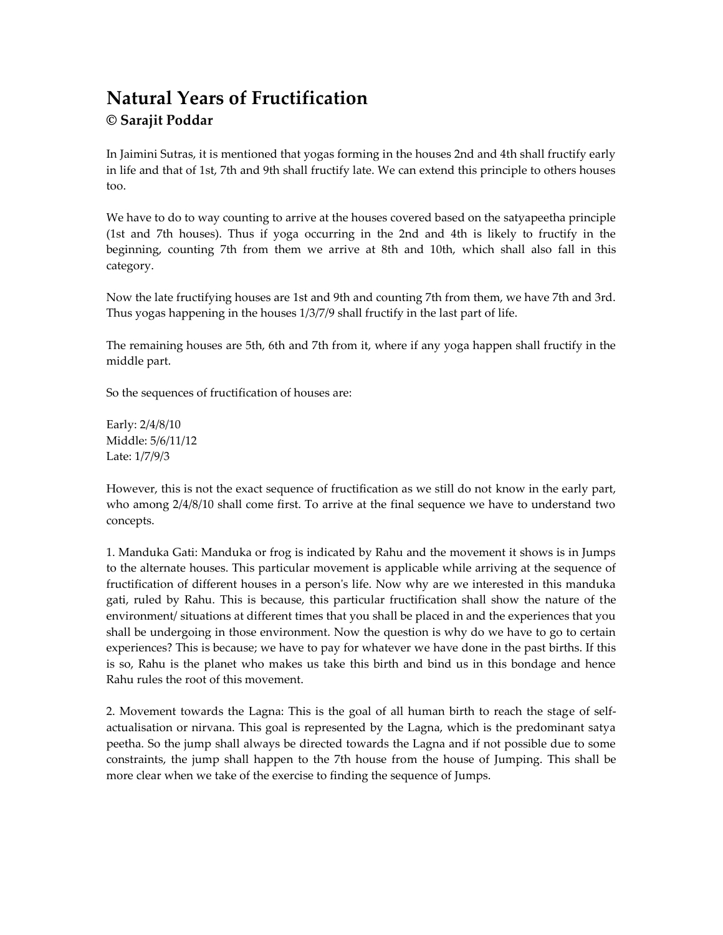# **Natural Years of Fructification © Sarajit Poddar**

In Jaimini Sutras, it is mentioned that yogas forming in the houses 2nd and 4th shall fructify early in life and that of 1st, 7th and 9th shall fructify late. We can extend this principle to others houses too.

We have to do to way counting to arrive at the houses covered based on the satyapeetha principle (1st and 7th houses). Thus if yoga occurring in the 2nd and 4th is likely to fructify in the beginning, counting 7th from them we arrive at 8th and 10th, which shall also fall in this category.

Now the late fructifying houses are 1st and 9th and counting 7th from them, we have 7th and 3rd. Thus yogas happening in the houses 1/3/7/9 shall fructify in the last part of life.

The remaining houses are 5th, 6th and 7th from it, where if any yoga happen shall fructify in the middle part.

So the sequences of fructification of houses are:

Early: 2/4/8/10 Middle: 5/6/11/12 Late: 1/7/9/3

However, this is not the exact sequence of fructification as we still do not know in the early part, who among  $2/4/8/10$  shall come first. To arrive at the final sequence we have to understand two concepts.

1. Manduka Gati: Manduka or frog is indicated by Rahu and the movement it shows is in Jumps to the alternate houses. This particular movement is applicable while arriving at the sequence of fructification of different houses in a person's life. Now why are we interested in this manduka gati, ruled by Rahu. This is because, this particular fructification shall show the nature of the environment/ situations at different times that you shall be placed in and the experiences that you shall be undergoing in those environment. Now the question is why do we have to go to certain experiences? This is because; we have to pay for whatever we have done in the past births. If this is so, Rahu is the planet who makes us take this birth and bind us in this bondage and hence Rahu rules the root of this movement.

2. Movement towards the Lagna: This is the goal of all human birth to reach the stage of selfactualisation or nirvana. This goal is represented by the Lagna, which is the predominant satya peetha. So the jump shall always be directed towards the Lagna and if not possible due to some constraints, the jump shall happen to the 7th house from the house of Jumping. This shall be more clear when we take of the exercise to finding the sequence of Jumps.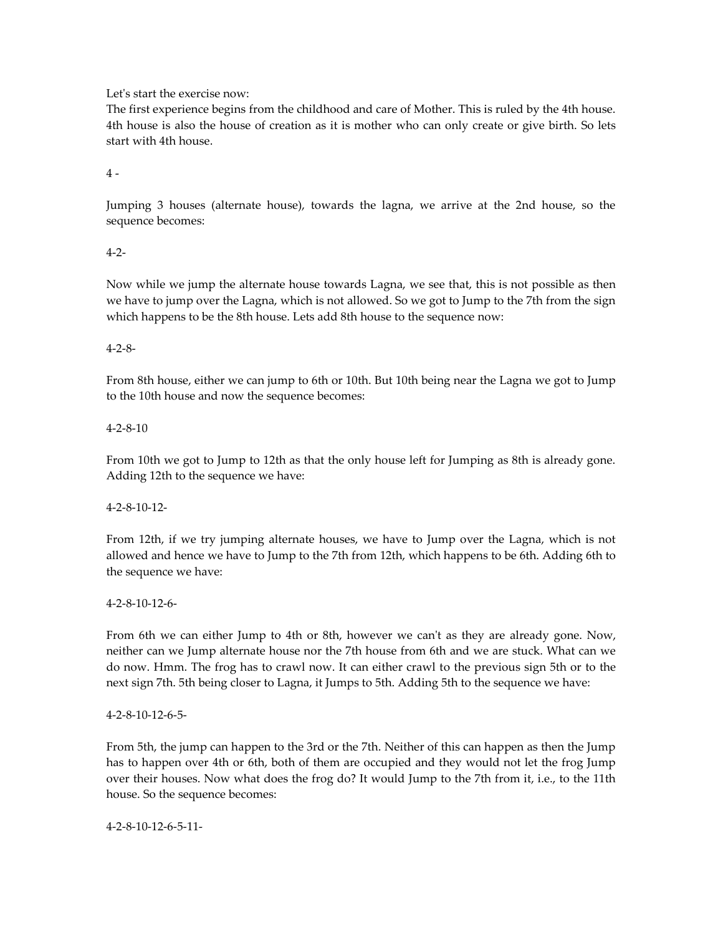Let's start the exercise now:

The first experience begins from the childhood and care of Mother. This is ruled by the 4th house. 4th house is also the house of creation as it is mother who can only create or give birth. So lets start with 4th house.

 $4 -$ 

Jumping 3 houses (alternate house), towards the lagna, we arrive at the 2nd house, so the sequence becomes:

# 4-2-

Now while we jump the alternate house towards Lagna, we see that, this is not possible as then we have to jump over the Lagna, which is not allowed. So we got to Jump to the 7th from the sign which happens to be the 8th house. Lets add 8th house to the sequence now:

# 4-2-8-

From 8th house, either we can jump to 6th or 10th. But 10th being near the Lagna we got to Jump to the 10th house and now the sequence becomes:

# 4-2-8-10

From 10th we got to Jump to 12th as that the only house left for Jumping as 8th is already gone. Adding 12th to the sequence we have:

4-2-8-10-12-

From 12th, if we try jumping alternate houses, we have to Jump over the Lagna, which is not allowed and hence we have to Jump to the 7th from 12th, which happens to be 6th. Adding 6th to the sequence we have:

4-2-8-10-12-6-

From 6th we can either Jump to 4th or 8th, however we can't as they are already gone. Now, neither can we Jump alternate house nor the 7th house from 6th and we are stuck. What can we do now. Hmm. The frog has to crawl now. It can either crawl to the previous sign 5th or to the next sign 7th. 5th being closer to Lagna, it Jumps to 5th. Adding 5th to the sequence we have:

### 4-2-8-10-12-6-5-

From 5th, the jump can happen to the 3rd or the 7th. Neither of this can happen as then the Jump has to happen over 4th or 6th, both of them are occupied and they would not let the frog Jump over their houses. Now what does the frog do? It would Jump to the 7th from it, i.e., to the 11th house. So the sequence becomes:

4-2-8-10-12-6-5-11-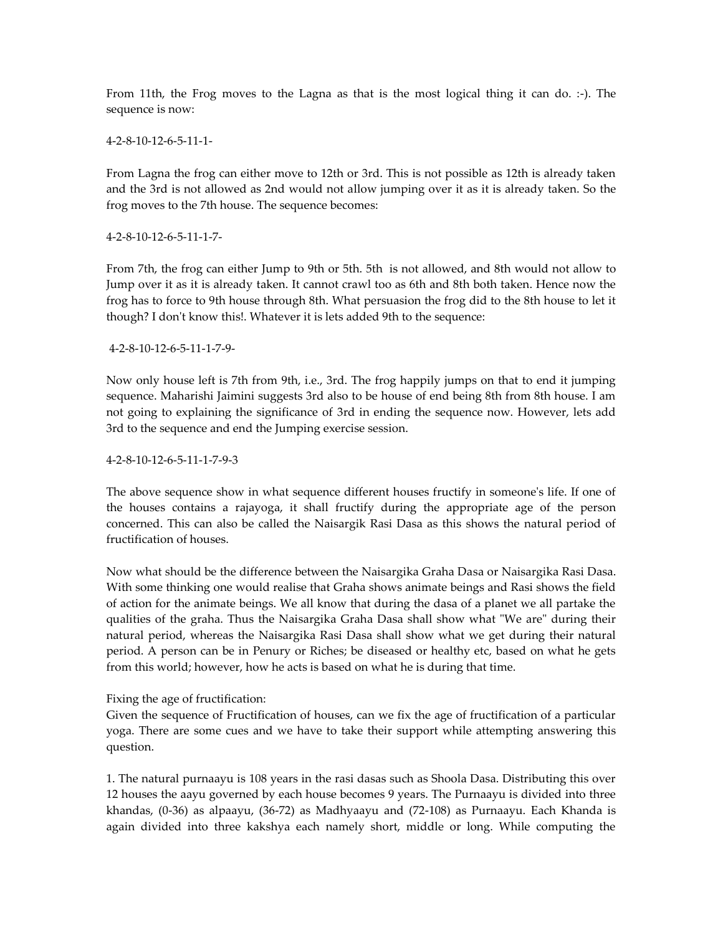From 11th, the Frog moves to the Lagna as that is the most logical thing it can do. :-). The sequence is now:

4-2-8-10-12-6-5-11-1-

From Lagna the frog can either move to 12th or 3rd. This is not possible as 12th is already taken and the 3rd is not allowed as 2nd would not allow jumping over it as it is already taken. So the frog moves to the 7th house. The sequence becomes:

4-2-8-10-12-6-5-11-1-7-

From 7th, the frog can either Jump to 9th or 5th. 5th is not allowed, and 8th would not allow to Jump over it as it is already taken. It cannot crawl too as 6th and 8th both taken. Hence now the frog has to force to 9th house through 8th. What persuasion the frog did to the 8th house to let it though? I don't know this!. Whatever it is lets added 9th to the sequence:

4-2-8-10-12-6-5-11-1-7-9-

Now only house left is 7th from 9th, i.e., 3rd. The frog happily jumps on that to end it jumping sequence. Maharishi Jaimini suggests 3rd also to be house of end being 8th from 8th house. I am not going to explaining the significance of 3rd in ending the sequence now. However, lets add 3rd to the sequence and end the Jumping exercise session.

4-2-8-10-12-6-5-11-1-7-9-3

The above sequence show in what sequence different houses fructify in someone's life. If one of the houses contains a rajayoga, it shall fructify during the appropriate age of the person concerned. This can also be called the Naisargik Rasi Dasa as this shows the natural period of fructification of houses.

Now what should be the difference between the Naisargika Graha Dasa or Naisargika Rasi Dasa. With some thinking one would realise that Graha shows animate beings and Rasi shows the field of action for the animate beings. We all know that during the dasa of a planet we all partake the qualities of the graha. Thus the Naisargika Graha Dasa shall show what "We are" during their natural period, whereas the Naisargika Rasi Dasa shall show what we get during their natural period. A person can be in Penury or Riches; be diseased or healthy etc, based on what he gets from this world; however, how he acts is based on what he is during that time.

### Fixing the age of fructification:

Given the sequence of Fructification of houses, can we fix the age of fructification of a particular yoga. There are some cues and we have to take their support while attempting answering this question.

1. The natural purnaayu is 108 years in the rasi dasas such as Shoola Dasa. Distributing this over 12 houses the aayu governed by each house becomes 9 years. The Purnaayu is divided into three khandas, (0-36) as alpaayu, (36-72) as Madhyaayu and (72-108) as Purnaayu. Each Khanda is again divided into three kakshya each namely short, middle or long. While computing the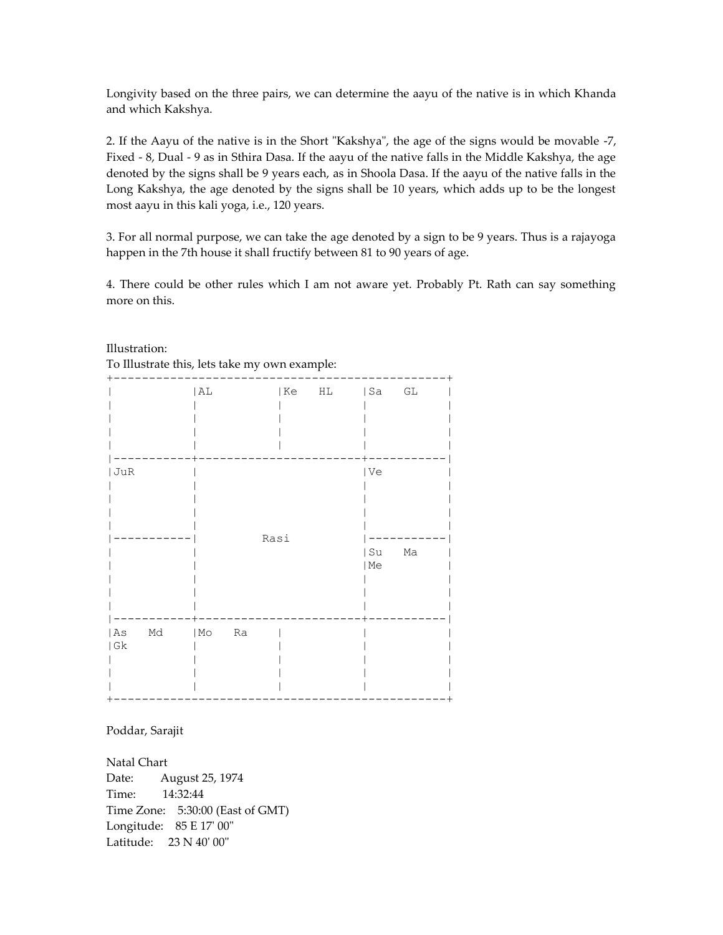Longivity based on the three pairs, we can determine the aayu of the native is in which Khanda and which Kakshya.

2. If the Aayu of the native is in the Short "Kakshya", the age of the signs would be movable -7, Fixed - 8, Dual - 9 as in Sthira Dasa. If the aayu of the native falls in the Middle Kakshya, the age denoted by the signs shall be 9 years each, as in Shoola Dasa. If the aayu of the native falls in the Long Kakshya, the age denoted by the signs shall be 10 years, which adds up to be the longest most aayu in this kali yoga, i.e., 120 years.

3. For all normal purpose, we can take the age denoted by a sign to be 9 years. Thus is a rajayoga happen in the 7th house it shall fructify between 81 to 90 years of age.

4. There could be other rules which I am not aware yet. Probably Pt. Rath can say something more on this.

|                                | AL                             | Ke   | HL | Sa GL      |          |
|--------------------------------|--------------------------------|------|----|------------|----------|
| JuR                            |                                |      |    | Ve         |          |
|                                |                                | Rasi |    | Su<br>  Me | $\rm Ma$ |
| $\rm Md$<br>  As<br>$\mid$ G k | $\mid$ Mo $\mid$<br>${\rm Ra}$ |      |    |            |          |

Illustration: To Illustrate this, lets take my own example:

Poddar, Sarajit

Natal Chart Date: August 25, 1974 Time: 14:32:44 Time Zone: 5:30:00 (East of GMT) Longitude: 85 E 17' 00" Latitude: 23 N 40' 00"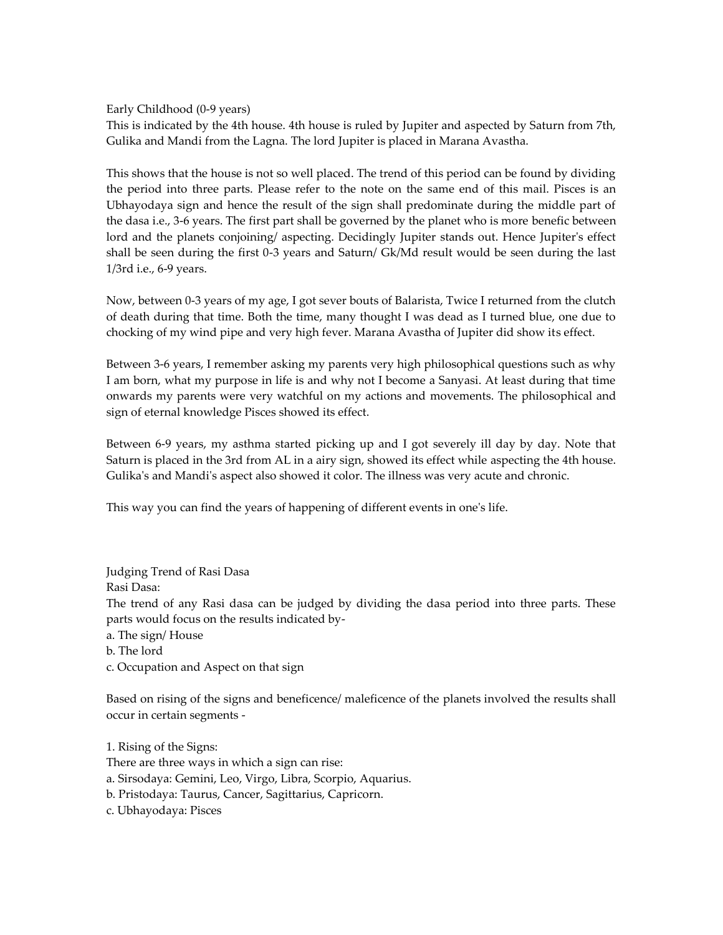Early Childhood (0-9 years)

This is indicated by the 4th house. 4th house is ruled by Jupiter and aspected by Saturn from 7th, Gulika and Mandi from the Lagna. The lord Jupiter is placed in Marana Avastha.

This shows that the house is not so well placed. The trend of this period can be found by dividing the period into three parts. Please refer to the note on the same end of this mail. Pisces is an Ubhayodaya sign and hence the result of the sign shall predominate during the middle part of the dasa i.e., 3-6 years. The first part shall be governed by the planet who is more benefic between lord and the planets conjoining/ aspecting. Decidingly Jupiter stands out. Hence Jupiter's effect shall be seen during the first 0-3 years and Saturn/ Gk/Md result would be seen during the last 1/3rd i.e., 6-9 years.

Now, between 0-3 years of my age, I got sever bouts of Balarista, Twice I returned from the clutch of death during that time. Both the time, many thought I was dead as I turned blue, one due to chocking of my wind pipe and very high fever. Marana Avastha of Jupiter did show its effect.

Between 3-6 years, I remember asking my parents very high philosophical questions such as why I am born, what my purpose in life is and why not I become a Sanyasi. At least during that time onwards my parents were very watchful on my actions and movements. The philosophical and sign of eternal knowledge Pisces showed its effect.

Between 6-9 years, my asthma started picking up and I got severely ill day by day. Note that Saturn is placed in the 3rd from AL in a airy sign, showed its effect while aspecting the 4th house. Gulika's and Mandi's aspect also showed it color. The illness was very acute and chronic.

This way you can find the years of happening of different events in one's life.

Judging Trend of Rasi Dasa Rasi Dasa: The trend of any Rasi dasa can be judged by dividing the dasa period into three parts. These parts would focus on the results indicated bya. The sign/ House

b. The lord

c. Occupation and Aspect on that sign

Based on rising of the signs and beneficence/ maleficence of the planets involved the results shall occur in certain segments -

1. Rising of the Signs: There are three ways in which a sign can rise: a. Sirsodaya: Gemini, Leo, Virgo, Libra, Scorpio, Aquarius. b. Pristodaya: Taurus, Cancer, Sagittarius, Capricorn. c. Ubhayodaya: Pisces